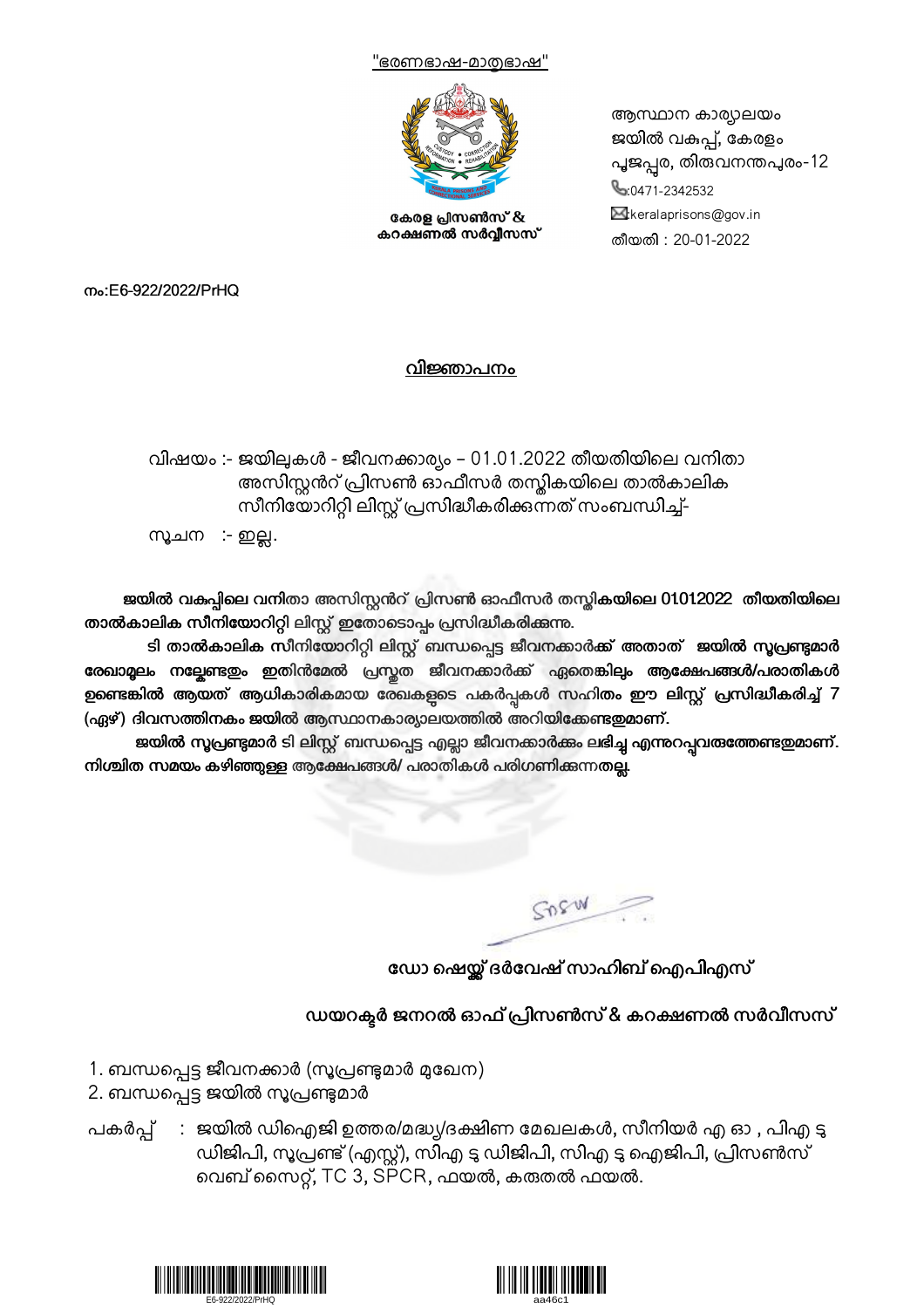



കേരള പ്രസൺസ് & കറക്ഷണൽ സർവ്വീസസ് ആസ്ഥാന കാര്യാലയം ജയിൽ വകുപ്പ്, കേരളം പൂജപ്പൂര, തിരുവനന്തപുരം-12 0471-2342532  $\mathbb{M}$ :keralaprisons@gov.in തീയതി : 20-01-2022

നം:E6-922/2022/PrHQ

## വിജ്ഞാപനം

വിഷയം :- ജയിലുകൾ - ജീവനക്കാര്യം – 01.01.2022 തീയതിയിലെ വനിതാ അസിസ്റ്റൻറ് പ്രിസൺ ഓഫീസർ തസ്കികയിലെ താൽകാലിക സീനിയോറിറ്റി ലിസ്റ്റ് പ്രസിദ്ധീകരിക്കുന്നത് സംബന്ധിച്ച്-

സൂചന :- ഇല്ല.

ജയിൽ വകുപ്പിലെ വനിതാ അസിസ്റ്റൻറ് പ്രിസൺ ഓഫീസർ തസ്തികയിലെ 01012022 തീയതിയിലെ താൽകാലിക സീനിയോറിറ്റി ലിസ്റ്റ് ഇതോടൊപ്പം പ്രസിദ്ധീകരിക്കുന്നു.

ടി താൽകാലിക സീനിയോറിറ്റി ലിസ്റ്റ് ബന്ധപ്പെട്ട ജീവനക്കാർക്ക് അതാത് ജയിൽ സൂപ്രണ്ടുമാർ രേഖാമൂലം നല്ലേണ്ടതും ഇതിൻമേൽ പ്രസ്തത ജീവനക്കാർക്ക് ഏതെങ്കിലും ആക്ഷേപങ്ങൾ/പരാതികൾ ഉണ്ടെങ്കിൽ ആയത് ആധികാരികമായ രേഖകളുടെ പകർപ്പകൾ സഹിതം ഈ ലിസ്റ്റ് പ്രസിദ്ധീകരിച്ച് 7 (ഏഴ്) ദിവസത്തിനകം ജയിൽ ആസ്ഥാനകാര്യാലയത്തിൽ അറിയിക്കേണ്ടതുമാണ്.

ജയിൽ സൂപ്രണ്ടുമാർ ടി ലിസ്റ്റ് ബന്ധപ്പെട്ട എല്ലാ ജീവനക്കാർക്കം ലഭിച്ച എന്നുറപ്പവരുത്തേണ്ടതുമാണ്. നിശ്ചിത സമയം കഴിഞ്ഞുള്ള ആക്ഷേപങ്ങൾ/ പരാതികൾ പരിഗണിക്കുന്നതല്ല.

SORW

ഡോ ഷെയ്ല് ദർവേഷ് സാഹിബ് ഐപിഎസ്

ഡയറക്ടർ ജനറൽ ഓഫ് പ്രിസൺസ് & കറക്ഷണൽ സർവീസസ്

- 1. ബന്ധപ്പെട്ട ജീവനക്കാർ (സൂപ്രണ്ടുമാർ മുഖേന)
- 2. ബന്ധപ്പെട്ട ജയിൽ സൂപ്രണ്ടുമാർ
- പകർപ്പ്  $\,$  : ജയിൽ ഡിഐജി ഉത്തര/മദ്ധ്യ/ദക്ഷിണ മേഖലകൾ, സീനിയർ എ ഓ , പിഎ ടു ഡിജിപി, സൂപ്രണ്ട് (എസ്റ്റ്), സിഎ ടു ഡിജിപി, സിഎ ടു ഐജിപി, പ്രിസൺസ് വെബ് സൈറ്റ്, TC 3, SPCR, ഫയൽ, കരുതൽ ഫയൽ.



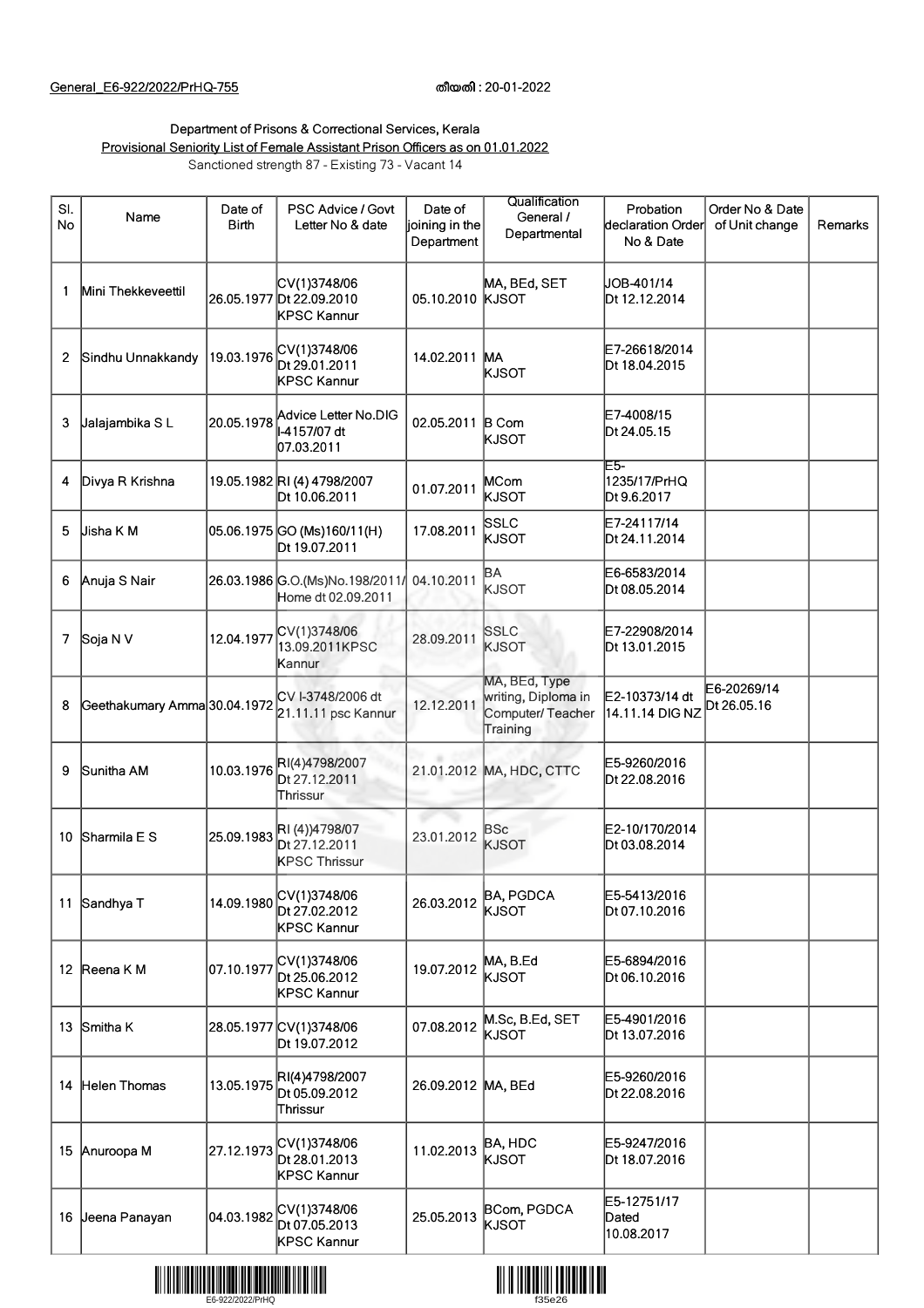## Department of Prisons & Correctional Services, Kerala Provisional Seniority List of Female Assistant Prison Officers as on 01.01.2022 Sanctioned strength 87 - Existing 73 - Vacant 14

| SI.<br><b>No</b> | Name                         | Date of<br><b>Birth</b> | PSC Advice / Govt<br>Letter No & date                   | Date of<br>joining in the<br>Department | Qualification<br>General /<br>Departmental                           | Probation<br>declaration Order<br>No & Date | Order No & Date<br>of Unit change | Remarks |
|------------------|------------------------------|-------------------------|---------------------------------------------------------|-----------------------------------------|----------------------------------------------------------------------|---------------------------------------------|-----------------------------------|---------|
| 1                | Mini Thekkeveettil           |                         | CV(1)3748/06<br>26.05.1977 Dt 22.09.2010<br>KPSC Kannur | 05.10.2010                              | MA, BEd, SET<br><b>KJSOT</b>                                         | JOB-401/14<br>Dt 12.12.2014                 |                                   |         |
| 2                | Sindhu Unnakkandy            | 19.03.1976              | CV(1)3748/06<br>Dt 29.01.2011<br>KPSC Kannur            | 14.02.2011 MA                           | KJSOT                                                                | E7-26618/2014<br>Dt 18.04.2015              |                                   |         |
| 3                | Jalajambika SL               | 20.05.1978              | Advice Letter No.DIG<br>-4157/07 dt<br>07.03.2011       | 02.05.2011 B Com                        | KJSOT                                                                | E7-4008/15<br>Dt 24.05.15                   |                                   |         |
| 4                | Divya R Krishna              |                         | 19.05.1982 RI (4) 4798/2007<br>Dt 10.06.2011            | 01.07.2011                              | MCom<br>kjsot                                                        | E5-<br>1235/17/PrHQ<br>Dt 9.6.2017          |                                   |         |
| 5                | Jisha K M                    |                         | 05.06.1975 GO (Ms)160/11(H)<br>Dt 19.07.2011            | 17.08.2011                              | SSLC<br>kjsot                                                        | E7-24117/14<br>Dt 24.11.2014                |                                   |         |
| 6                | Anuja S Nair                 |                         | 26.03.1986 G.O. (Ms)No.198/2011/<br>Home dt 02.09.2011  | 04.10.2011                              | BА<br><b>KJSOT</b>                                                   | E6-6583/2014<br>Dt 08.05.2014               |                                   |         |
| 7                | Soja N V                     | 12.04.1977              | CV(1)3748/06<br>13.09.2011KPSC<br>Kannur                | 28.09.2011                              | <b>SSLC</b><br><b>KJSOT</b>                                          | E7-22908/2014<br>Dt 13.01.2015              |                                   |         |
| 8                | Geethakumary Amma 30.04.1972 |                         | CV I-3748/2006 dt<br>21.11.11 psc Kannur                | 12.12.2011                              | MA, BEd, Type<br>writing, Diploma in<br>Computer/Teacher<br>Training | E2-10373/14 dt<br>14.11.14 DIG NZ           | E6-20269/14<br>Dt 26.05.16        |         |
| 9                | Sunitha AM                   | 10.03.1976              | RI(4)4798/2007<br>Dt 27.12.2011<br>Thrissur.            |                                         | 21.01.2012 MA, HDC, CTTC                                             | E5-9260/2016<br>Dt 22.08.2016               |                                   |         |
| 10               | Sharmila E S                 | 25.09.1983              | RI(4))4798/07<br>Dt 27.12.2011<br><b>KPSC Thrissur</b>  | 23.01.2012                              | BSc<br><b>KJSOT</b>                                                  | E2-10/170/2014<br>Dt 03.08.2014             |                                   |         |
|                  | 11 Sandhya T                 | 14.09.1980              | CV(1)3748/06<br>Dt 27.02.2012<br>KPSC Kannur            | 26.03.2012                              | <b>BA, PGDCA</b><br>KJSOT                                            | E5-5413/2016<br>Dt 07.10.2016               |                                   |         |
|                  | 12 Reena K M                 | 07.10.1977              | CV(1)3748/06<br>Dt 25.06.2012<br>KPSC Kannur            | 19.07.2012                              | MA, B.Ed<br>KJSOT                                                    | E5-6894/2016<br>Dt 06.10.2016               |                                   |         |
| 13               | Smitha K                     |                         | 28.05.1977 CV(1)3748/06<br>Dt 19.07.2012                | 07.08.2012                              | M.Sc, B.Ed, SET<br>KJSOT                                             | E5-4901/2016<br>Dt 13.07.2016               |                                   |         |
| 14               | Helen Thomas                 | 13.05.1975              | RI(4)4798/2007<br>Dt 05.09.2012<br>Thrissur             | 26.09.2012 MA, BEd                      |                                                                      | E5-9260/2016<br>Dt 22.08.2016               |                                   |         |
| 15               | Anuroopa M                   | 27.12.1973              | CV(1)3748/06<br>Dt 28.01.2013<br>KPSC Kannur            | 11.02.2013                              | BA, HDC<br>KJSOT                                                     | E5-9247/2016<br>Dt 18.07.2016               |                                   |         |
| 16               | Jeena Panayan                | 04.03.1982              | CV(1)3748/06<br>Dt 07.05.2013<br>KPSC Kannur            | 25.05.2013                              | BCom, PGDCA<br>KJSOT                                                 | E5-12751/17<br>Dated<br>10.08.2017          |                                   |         |



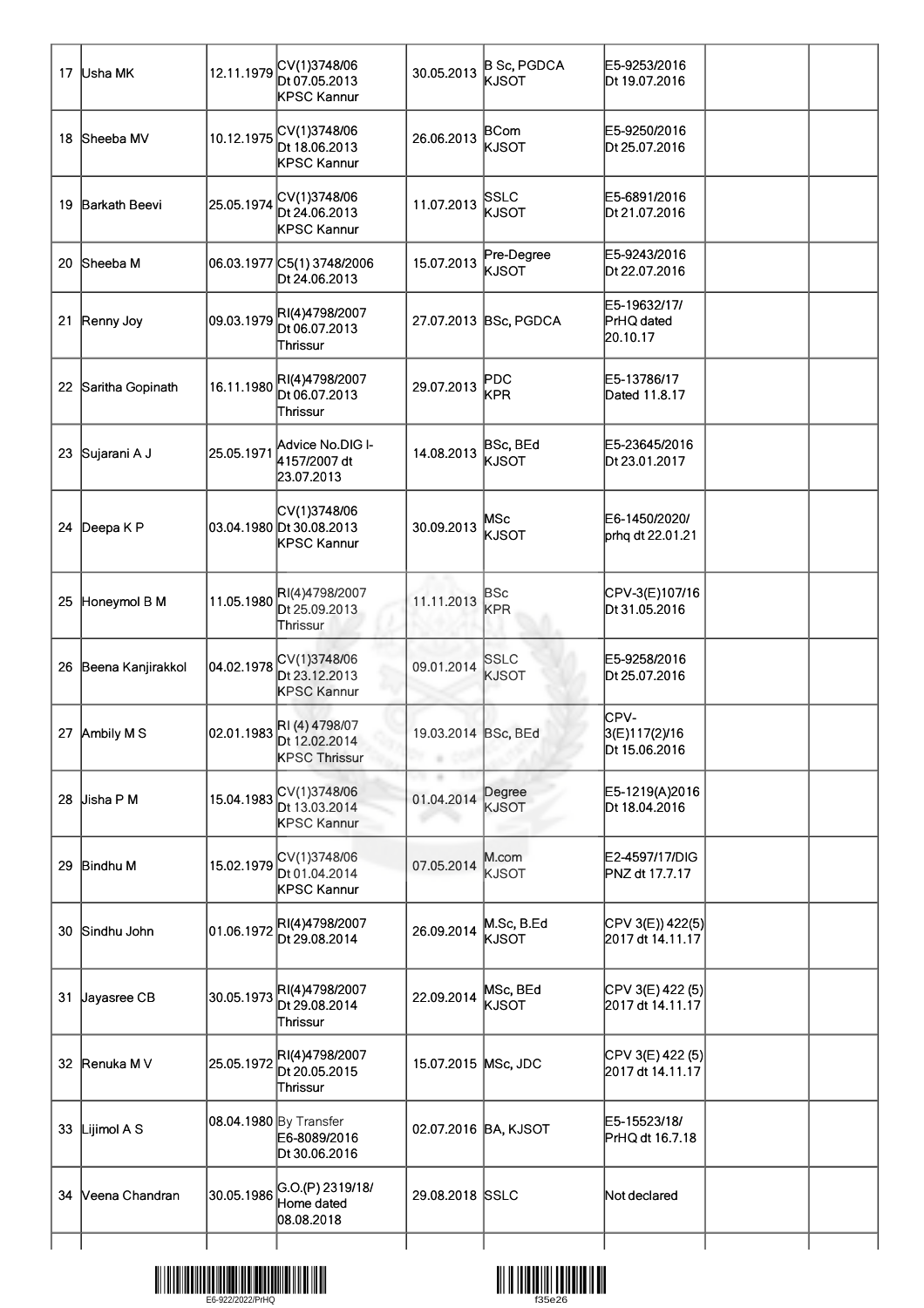| 17 | Usha MK           | 12.11.1979 | CV(1)3748/06<br>Dt 07.05.2013<br>KPSC Kannur            | 30.05.2013                      | <b>B Sc, PGDCA</b><br>KJSOT | E5-9253/2016<br>Dt 19.07.2016          |  |
|----|-------------------|------------|---------------------------------------------------------|---------------------------------|-----------------------------|----------------------------------------|--|
| 18 | Sheeba MV         | 10.12.1975 | CV(1)3748/06<br>Dt 18.06.2013<br>KPSC Kannur            | 26.06.2013                      | <b>BCom</b><br>KJSOT        | E5-9250/2016<br>Dt 25.07.2016          |  |
| 19 | Barkath Beevi     | 25.05.1974 | CV(1)3748/06<br>Dt 24.06.2013<br>KPSC Kannur            | 11.07.2013                      | SSLC<br>KJSOT               | E5-6891/2016<br>Dt 21.07.2016          |  |
| 20 | Sheeba M          |            | 06.03.1977 C5(1) 3748/2006<br>Dt 24.06.2013             | 15.07.2013                      | Pre-Degree<br>KJSOT         | E5-9243/2016<br>Dt 22.07.2016          |  |
| 21 | Renny Joy         | 09.03.1979 | RI(4)4798/2007<br>Dt 06.07.2013<br>Thrissur             |                                 | 27.07.2013 BSc, PGDCA       | E5-19632/17/<br>PrHQ dated<br>20.10.17 |  |
| 22 | Saritha Gopinath  | 16.11.1980 | RI(4)4798/2007<br>Dt 06.07.2013<br>∏hrissur             | 29.07.2013                      | $\sf PDC$<br>KPR            | E5-13786/17<br>Dated 11.8.17           |  |
| 23 | Sujarani A J      | 25.05.1971 | Advice No.DIG I-<br>4157/2007 dt<br>23.07.2013          | 14.08.2013                      | BSc, BEd<br>KJSOT           | E5-23645/2016<br>Dt 23.01.2017         |  |
|    | 24 Deepa K P      |            | CV(1)3748/06<br>03.04.1980 Dt 30.08.2013<br>KPSC Kannur | 30.09.2013                      | MSc<br>KJSOT                | E6-1450/2020/<br>prhq dt 22.01.21      |  |
| 25 | Honeymol B M      | 11.05.1980 | RI(4)4798/2007<br>Dt 25.09.2013<br>Thrissur             | 11.11.2013                      | <b>BSc</b><br>KPR           | CPV-3(E)107/16<br>Dt 31.05.2016        |  |
| 26 | Beena Kanjirakkol | 04.02.1978 | CV(1)3748/06<br>Dt 23.12.2013<br><b>KPSC Kannur</b>     | 09.01.2014                      | <b>SSLC</b><br><b>KJSOT</b> | E5-9258/2016<br>Dt 25.07.2016          |  |
|    | 27 Ambily M S     | 02.01.1983 | RI(4) 4798/07<br>Dt 12.02.2014<br><b>KPSC Thrissur</b>  | 19.03.2014 BSc, BEd<br>in a con |                             | CPV-<br>3(E)117(2)/16<br>Dt 15.06.2016 |  |
| 28 | Jisha P M         | 15.04.1983 | CV(1)3748/06<br>Dt 13.03.2014<br><b>KPSC Kannur</b>     | 01.04.2014                      | Degree<br><b>KJSOT</b>      | E5-1219(A)2016<br>Dt 18.04.2016        |  |
| 29 | <b>Bindhu M</b>   | 15.02.1979 | CV(1)3748/06<br>Dt 01.04.2014<br>KPSC Kannur            | 07.05.2014                      | M.com<br><b>KJSOT</b>       | E2-4597/17/DIG<br>PNZ dt 17.7.17       |  |
| 30 | Sindhu John       | 01.06.1972 | RI(4)4798/2007<br>Dt 29.08.2014                         | 26.09.2014                      | M.Sc, B.Ed<br>KJSOT         | CPV 3(E)) 422(5)<br>2017 dt 14.11.17   |  |
| 31 | Jayasree CB       | 30.05.1973 | RI(4)4798/2007<br>Dt 29.08.2014<br>Thrissur             | 22.09.2014                      | MSc, BEd<br>KJSOT           | CPV 3(E) 422 (5)<br>2017 dt 14.11.17   |  |
|    | 32 Renuka M V     | 25.05.1972 | RI(4)4798/2007<br>Dt 20.05.2015<br>Thrissur             | 15.07.2015 MSc, JDC             |                             | CPV 3(E) 422 (5)<br>2017 dt 14.11.17   |  |
| 33 | Lijimol A S       |            | 08.04.1980 By Transfer<br>E6-8089/2016<br>Dt 30.06.2016 |                                 | 02.07.2016 BA, KJSOT        | E5-15523/18/<br>PrHQ dt 16.7.18        |  |
| 34 | Veena Chandran    | 30.05.1986 | G.O.(P) 2319/18/<br>Home dated<br>08.08.2018            | 29.08.2018 SSLC                 |                             | Not declared                           |  |
|    |                   |            |                                                         |                                 |                             |                                        |  |



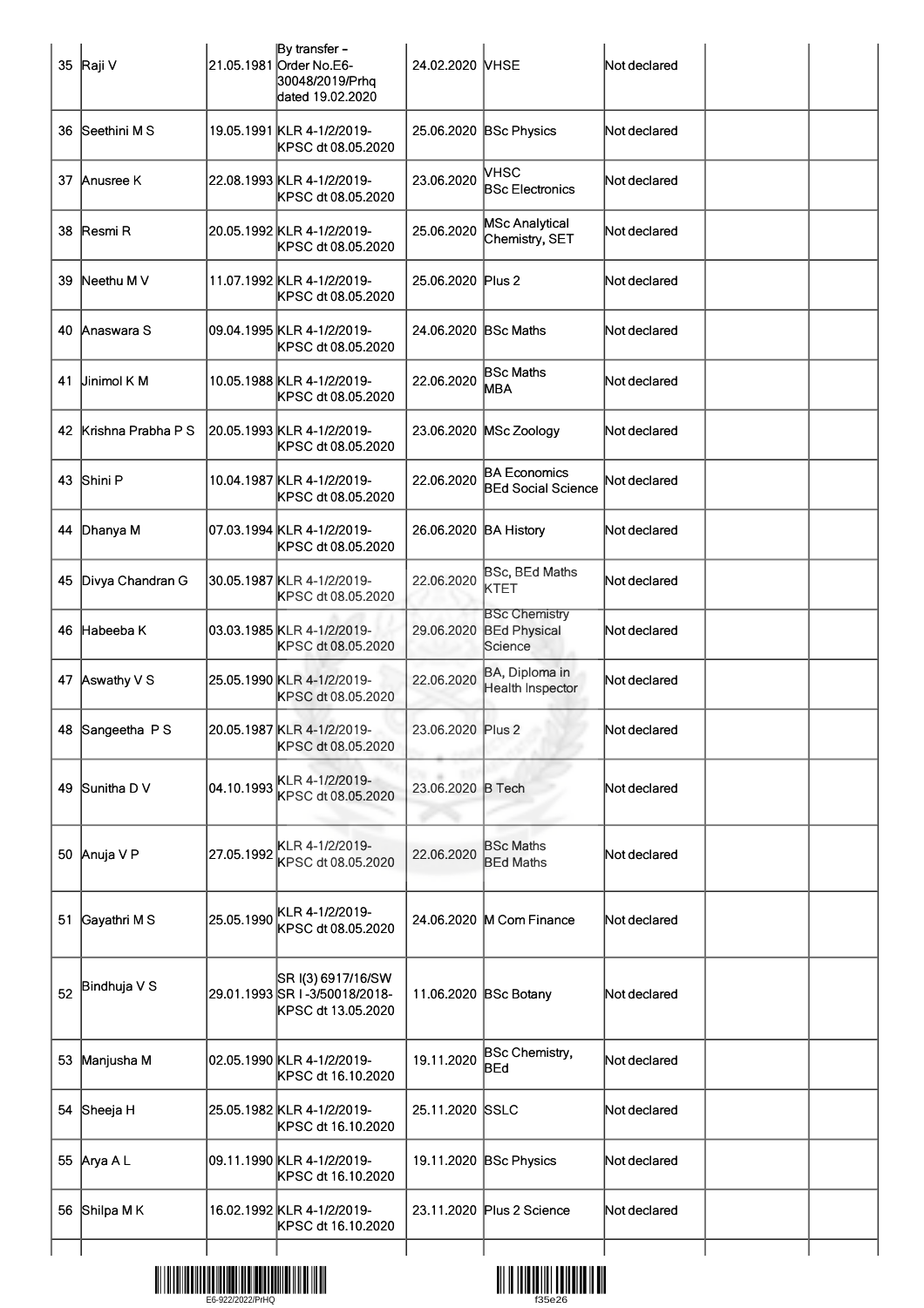|    | 35 Raji V          |            | By transfer -<br>21.05.1981 Order No.E6-<br>30048/2019/Prhq<br>dated 19.02.2020 | 24.02.2020 NHSE       |                                                            | Not declared |  |
|----|--------------------|------------|---------------------------------------------------------------------------------|-----------------------|------------------------------------------------------------|--------------|--|
| 36 | Seethini M S       |            | 19.05.1991 KLR 4-1/2/2019-<br>KPSC dt 08.05.2020                                |                       | 25.06.2020 BSc Physics                                     | Not declared |  |
| 37 | Anusree K          |            | 22.08.1993 KLR 4-1/2/2019-<br>KPSC dt 08.05.2020                                | 23.06.2020            | VHSC<br><b>BSc Electronics</b>                             | Not declared |  |
| 38 | Resmi R            |            | 20.05.1992 KLR 4-1/2/2019-<br>KPSC dt 08.05.2020                                | 25.06.2020            | <b>MSc Analytical</b><br>Chemistry, SET                    | Not declared |  |
| 39 | Neethu M V         |            | 11.07.1992 KLR 4-1/2/2019-<br>KPSC dt 08.05.2020                                | 25.06.2020 Plus 2     |                                                            | Not declared |  |
| 40 | Anaswara S         |            | 09.04.1995 KLR 4-1/2/2019-<br>KPSC dt 08.05.2020                                | 24.06.2020 BSc Maths  |                                                            | Not declared |  |
| 41 | <b>Jinimol K M</b> |            | 10.05.1988 KLR 4-1/2/2019-<br>KPSC dt 08.05.2020                                | 22.06.2020            | <b>BSc Maths</b><br><b>MBA</b>                             | Not declared |  |
| 42 | Krishna Prabha P S |            | 20.05.1993 KLR 4-1/2/2019-<br>KPSC dt 08.05.2020                                | 23.06.2020            | MSc Zoology                                                | Not declared |  |
| 43 | Shini P            |            | 10.04.1987 KLR 4-1/2/2019-<br>KPSC dt 08.05.2020                                | 22.06.2020            | <b>BA Economics</b><br><b>BEd Social Science</b>           | Not declared |  |
| 44 | Dhanya M           |            | 07.03.1994 KLR 4-1/2/2019-<br>KPSC dt 08.05.2020                                | 26.06.2020 BA History |                                                            | Not declared |  |
| 45 | Divya Chandran G   |            | 30.05.1987 KLR 4-1/2/2019-<br>KPSC dt 08.05.2020                                | 22.06.2020            | BSc, BEd Maths<br>KTET                                     | Not declared |  |
| 46 | Habeeba K          |            | 03.03.1985 KLR 4-1/2/2019-<br>KPSC dt 08.05.2020                                |                       | <b>BSc Chemistry</b><br>29.06.2020 BEd Physical<br>Science | Not declared |  |
|    | 47 Aswathy V S     |            | 25.05.1990 KLR 4-1/2/2019-<br>KPSC dt 08.05.2020                                | 22.06.2020            | BA, Diploma in<br>Health Inspector                         | Not declared |  |
|    | 48 Sangeetha P S   |            | 20.05.1987 KLR 4-1/2/2019-<br>KPSC dt 08.05.2020                                | 23.06.2020 Plus 2     |                                                            | Not declared |  |
| 49 | Sunitha D V        | 04.10.1993 | KLR 4-1/2/2019-<br>KPSC dt 08.05.2020                                           | 23.06.2020 B Tech     |                                                            | Not declared |  |
| 50 | Anuja V P          | 27.05.1992 | KLR 4-1/2/2019-<br>KPSC dt 08.05.2020                                           | 22.06.2020            | <b>BSc Maths</b><br><b>BEd Maths</b>                       | Not declared |  |
| 51 | Gayathri M S       | 25.05.1990 | KLR 4-1/2/2019-<br>KPSC dt 08.05.2020                                           |                       | 24.06.2020 M Com Finance                                   | Not declared |  |
| 52 | Bindhuja V S       |            | SR I(3) 6917/16/SW<br>29.01.1993 SR I-3/50018/2018-<br>KPSC dt 13.05.2020       |                       | 11.06.2020 BSc Botany                                      | Not declared |  |
| 53 | Manjusha M         |            | 02.05.1990 KLR 4-1/2/2019-<br>KPSC dt 16.10.2020                                | 19.11.2020            | BSc Chemistry,<br>BEd                                      | Not declared |  |
| 54 | Sheeja H           |            | 25.05.1982 KLR 4-1/2/2019-<br>KPSC dt 16.10.2020                                | 25.11.2020 SSLC       |                                                            | Not declared |  |
|    | 55 Arya A L        |            | 09.11.1990 KLR 4-1/2/2019-<br>KPSC dt 16.10.2020                                |                       | 19.11.2020 BSc Physics                                     | Not declared |  |
| 56 | Shilpa M K         |            | 16.02.1992 KLR 4-1/2/2019-<br>KPSC dt 16.10.2020                                |                       | 23.11.2020 Plus 2 Science                                  | Not declared |  |
|    |                    |            |                                                                                 |                       |                                                            |              |  |